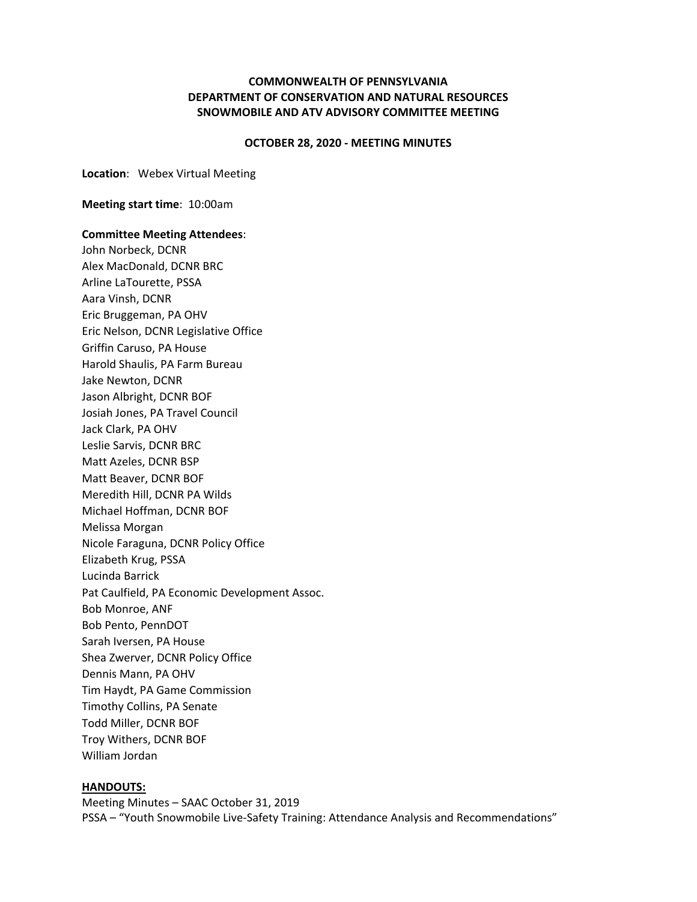## **COMMONWEALTH OF PENNSYLVANIA DEPARTMENT OF CONSERVATION AND NATURAL RESOURCES SNOWMOBILE AND ATV ADVISORY COMMITTEE MEETING**

### **OCTOBER 28, 2020 ‐ MEETING MINUTES**

**Location**: Webex Virtual Meeting

**Meeting start time**: 10:00am

### **Committee Meeting Attendees**:

John Norbeck, DCNR Alex MacDonald, DCNR BRC Arline LaTourette, PSSA Aara Vinsh, DCNR Eric Bruggeman, PA OHV Eric Nelson, DCNR Legislative Office Griffin Caruso, PA House Harold Shaulis, PA Farm Bureau Jake Newton, DCNR Jason Albright, DCNR BOF Josiah Jones, PA Travel Council Jack Clark, PA OHV Leslie Sarvis, DCNR BRC Matt Azeles, DCNR BSP Matt Beaver, DCNR BOF Meredith Hill, DCNR PA Wilds Michael Hoffman, DCNR BOF Melissa Morgan Nicole Faraguna, DCNR Policy Office Elizabeth Krug, PSSA Lucinda Barrick Pat Caulfield, PA Economic Development Assoc. Bob Monroe, ANF Bob Pento, PennDOT Sarah Iversen, PA House Shea Zwerver, DCNR Policy Office Dennis Mann, PA OHV Tim Haydt, PA Game Commission Timothy Collins, PA Senate Todd Miller, DCNR BOF Troy Withers, DCNR BOF William Jordan

#### **HANDOUTS:**

Meeting Minutes – SAAC October 31, 2019 PSSA – "Youth Snowmobile Live‐Safety Training: Attendance Analysis and Recommendations"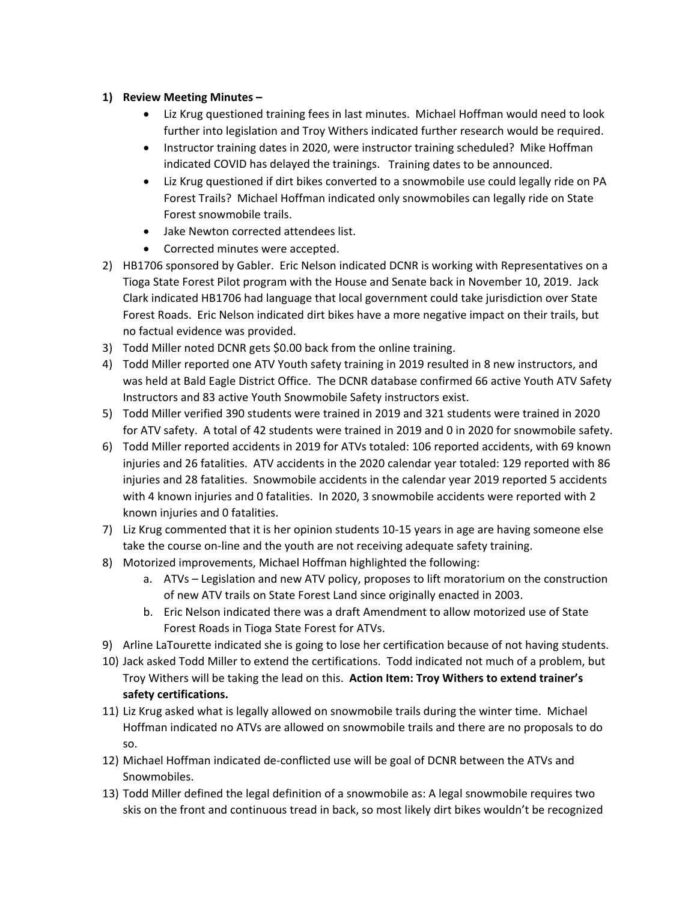# **1) Review Meeting Minutes –**

- Liz Krug questioned training fees in last minutes. Michael Hoffman would need to look further into legislation and Troy Withers indicated further research would be required.
- Instructor training dates in 2020, were instructor training scheduled? Mike Hoffman indicated COVID has delayed the trainings. Training dates to be announced.
- Liz Krug questioned if dirt bikes converted to a snowmobile use could legally ride on PA Forest Trails? Michael Hoffman indicated only snowmobiles can legally ride on State Forest snowmobile trails.
- Jake Newton corrected attendees list.
- Corrected minutes were accepted.
- 2) HB1706 sponsored by Gabler. Eric Nelson indicated DCNR is working with Representatives on a Tioga State Forest Pilot program with the House and Senate back in November 10, 2019. Jack Clark indicated HB1706 had language that local government could take jurisdiction over State Forest Roads. Eric Nelson indicated dirt bikes have a more negative impact on their trails, but no factual evidence was provided.
- 3) Todd Miller noted DCNR gets \$0.00 back from the online training.
- 4) Todd Miller reported one ATV Youth safety training in 2019 resulted in 8 new instructors, and was held at Bald Eagle District Office. The DCNR database confirmed 66 active Youth ATV Safety Instructors and 83 active Youth Snowmobile Safety instructors exist.
- 5) Todd Miller verified 390 students were trained in 2019 and 321 students were trained in 2020 for ATV safety. A total of 42 students were trained in 2019 and 0 in 2020 for snowmobile safety.
- 6) Todd Miller reported accidents in 2019 for ATVs totaled: 106 reported accidents, with 69 known injuries and 26 fatalities. ATV accidents in the 2020 calendar year totaled: 129 reported with 86 injuries and 28 fatalities. Snowmobile accidents in the calendar year 2019 reported 5 accidents with 4 known injuries and 0 fatalities. In 2020, 3 snowmobile accidents were reported with 2 known injuries and 0 fatalities.
- 7) Liz Krug commented that it is her opinion students 10‐15 years in age are having someone else take the course on‐line and the youth are not receiving adequate safety training.
- 8) Motorized improvements, Michael Hoffman highlighted the following:
	- a. ATVs Legislation and new ATV policy, proposes to lift moratorium on the construction of new ATV trails on State Forest Land since originally enacted in 2003.
	- b. Eric Nelson indicated there was a draft Amendment to allow motorized use of State Forest Roads in Tioga State Forest for ATVs.
- 9) Arline LaTourette indicated she is going to lose her certification because of not having students.
- 10) Jack asked Todd Miller to extend the certifications. Todd indicated not much of a problem, but Troy Withers will be taking the lead on this. **Action Item: Troy Withers to extend trainer's safety certifications.**
- 11) Liz Krug asked what is legally allowed on snowmobile trails during the winter time. Michael Hoffman indicated no ATVs are allowed on snowmobile trails and there are no proposals to do so.
- 12) Michael Hoffman indicated de‐conflicted use will be goal of DCNR between the ATVs and Snowmobiles.
- 13) Todd Miller defined the legal definition of a snowmobile as: A legal snowmobile requires two skis on the front and continuous tread in back, so most likely dirt bikes wouldn't be recognized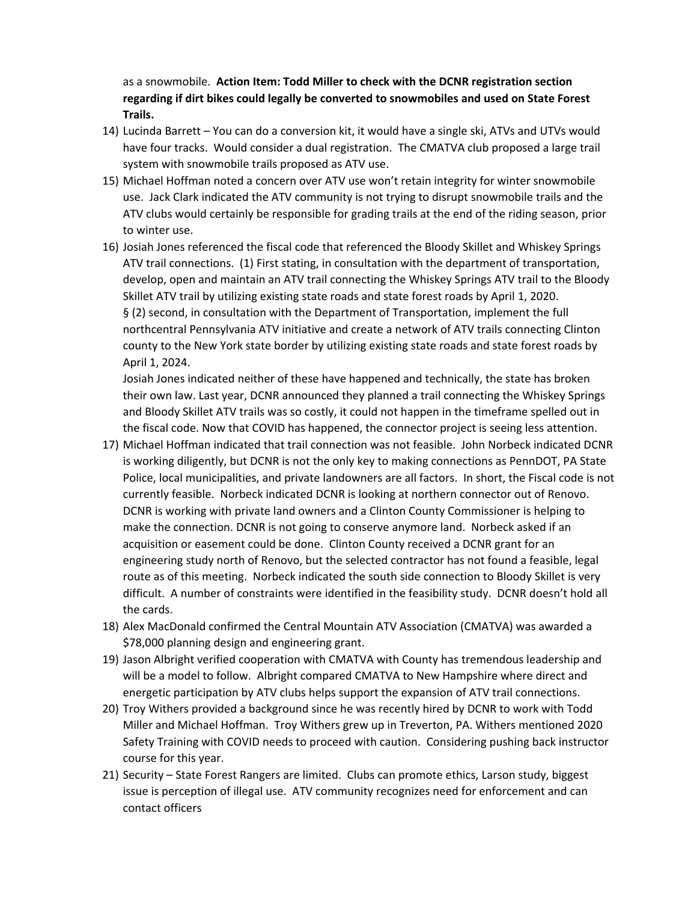as a snowmobile. **Action Item: Todd Miller to check with the DCNR registration section regarding if dirt bikes could legally be converted to snowmobiles and used on State Forest Trails.**

- 14) Lucinda Barrett You can do a conversion kit, it would have a single ski, ATVs and UTVs would have four tracks. Would consider a dual registration. The CMATVA club proposed a large trail system with snowmobile trails proposed as ATV use.
- 15) Michael Hoffman noted a concern over ATV use won't retain integrity for winter snowmobile use. Jack Clark indicated the ATV community is not trying to disrupt snowmobile trails and the ATV clubs would certainly be responsible for grading trails at the end of the riding season, prior to winter use.
- 16) Josiah Jones referenced the fiscal code that referenced the Bloody Skillet and Whiskey Springs ATV trail connections. (1) First stating, in consultation with the department of transportation, develop, open and maintain an ATV trail connecting the Whiskey Springs ATV trail to the Bloody Skillet ATV trail by utilizing existing state roads and state forest roads by April 1, 2020. § (2) second, in consultation with the Department of Transportation, implement the full northcentral Pennsylvania ATV initiative and create a network of ATV trails connecting Clinton county to the New York state border by utilizing existing state roads and state forest roads by April 1, 2024.

Josiah Jones indicated neither of these have happened and technically, the state has broken their own law. Last year, DCNR announced they planned a trail connecting the Whiskey Springs and Bloody Skillet ATV trails was so costly, it could not happen in the timeframe spelled out in the fiscal code. Now that COVID has happened, the connector project is seeing less attention.

- 17) Michael Hoffman indicated that trail connection was not feasible. John Norbeck indicated DCNR is working diligently, but DCNR is not the only key to making connections as PennDOT, PA State Police, local municipalities, and private landowners are all factors. In short, the Fiscal code is not currently feasible. Norbeck indicated DCNR is looking at northern connector out of Renovo. DCNR is working with private land owners and a Clinton County Commissioner is helping to make the connection. DCNR is not going to conserve anymore land. Norbeck asked if an acquisition or easement could be done. Clinton County received a DCNR grant for an engineering study north of Renovo, but the selected contractor has not found a feasible, legal route as of this meeting. Norbeck indicated the south side connection to Bloody Skillet is very difficult. A number of constraints were identified in the feasibility study. DCNR doesn't hold all the cards.
- 18) Alex MacDonald confirmed the Central Mountain ATV Association (CMATVA) was awarded a \$78,000 planning design and engineering grant.
- 19) Jason Albright verified cooperation with CMATVA with County has tremendous leadership and will be a model to follow. Albright compared CMATVA to New Hampshire where direct and energetic participation by ATV clubs helps support the expansion of ATV trail connections.
- 20) Troy Withers provided a background since he was recently hired by DCNR to work with Todd Miller and Michael Hoffman. Troy Withers grew up in Treverton, PA. Withers mentioned 2020 Safety Training with COVID needs to proceed with caution. Considering pushing back instructor course for this year.
- 21) Security State Forest Rangers are limited. Clubs can promote ethics, Larson study, biggest issue is perception of illegal use. ATV community recognizes need for enforcement and can contact officers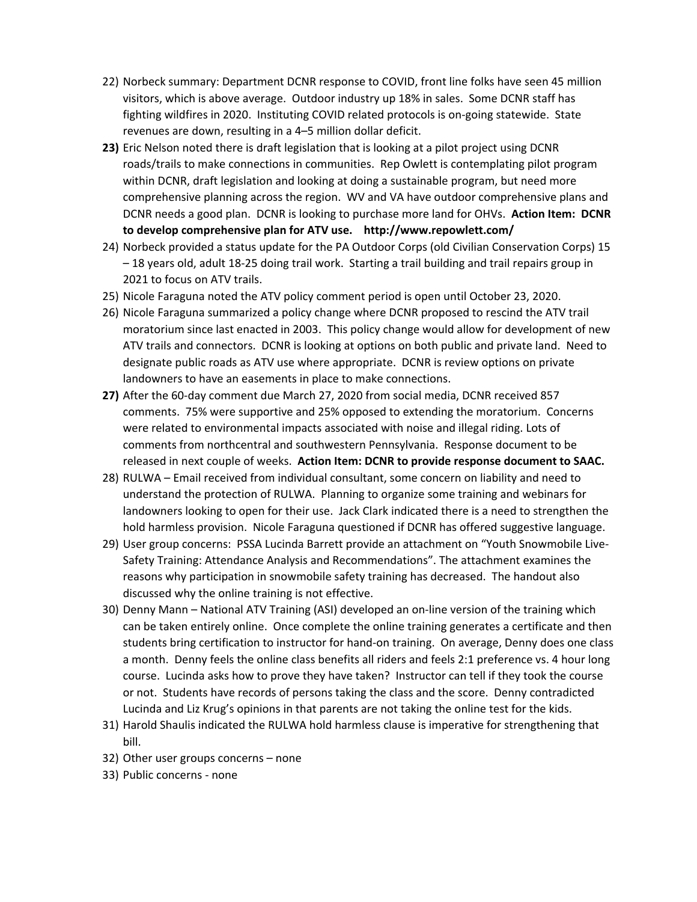- 22) Norbeck summary: Department DCNR response to COVID, front line folks have seen 45 million visitors, which is above average. Outdoor industry up 18% in sales. Some DCNR staff has fighting wildfires in 2020. Instituting COVID related protocols is on‐going statewide. State revenues are down, resulting in a 4–5 million dollar deficit.
- **23)** Eric Nelson noted there is draft legislation that is looking at a pilot project using DCNR roads/trails to make connections in communities. Rep Owlett is contemplating pilot program within DCNR, draft legislation and looking at doing a sustainable program, but need more comprehensive planning across the region. WV and VA have outdoor comprehensive plans and DCNR needs a good plan. DCNR is looking to purchase more land for OHVs. **Action Item: DCNR to develop comprehensive plan for ATV use. http://www.repowlett.com/**
- 24) Norbeck provided a status update for the PA Outdoor Corps (old Civilian Conservation Corps) 15 – 18 years old, adult 18‐25 doing trail work. Starting a trail building and trail repairs group in 2021 to focus on ATV trails.
- 25) Nicole Faraguna noted the ATV policy comment period is open until October 23, 2020.
- 26) Nicole Faraguna summarized a policy change where DCNR proposed to rescind the ATV trail moratorium since last enacted in 2003. This policy change would allow for development of new ATV trails and connectors. DCNR is looking at options on both public and private land. Need to designate public roads as ATV use where appropriate. DCNR is review options on private landowners to have an easements in place to make connections.
- **27)** After the 60‐day comment due March 27, 2020 from social media, DCNR received 857 comments. 75% were supportive and 25% opposed to extending the moratorium. Concerns were related to environmental impacts associated with noise and illegal riding. Lots of comments from northcentral and southwestern Pennsylvania. Response document to be released in next couple of weeks. **Action Item: DCNR to provide response document to SAAC.**
- 28) RULWA Email received from individual consultant, some concern on liability and need to understand the protection of RULWA. Planning to organize some training and webinars for landowners looking to open for their use. Jack Clark indicated there is a need to strengthen the hold harmless provision. Nicole Faraguna questioned if DCNR has offered suggestive language.
- 29) User group concerns: PSSA Lucinda Barrett provide an attachment on "Youth Snowmobile Live‐ Safety Training: Attendance Analysis and Recommendations". The attachment examines the reasons why participation in snowmobile safety training has decreased. The handout also discussed why the online training is not effective.
- 30) Denny Mann National ATV Training (ASI) developed an on‐line version of the training which can be taken entirely online. Once complete the online training generates a certificate and then students bring certification to instructor for hand‐on training. On average, Denny does one class a month. Denny feels the online class benefits all riders and feels 2:1 preference vs. 4 hour long course. Lucinda asks how to prove they have taken? Instructor can tell if they took the course or not. Students have records of persons taking the class and the score. Denny contradicted Lucinda and Liz Krug's opinions in that parents are not taking the online test for the kids.
- 31) Harold Shaulis indicated the RULWA hold harmless clause is imperative for strengthening that bill.
- 32) Other user groups concerns none
- 33) Public concerns ‐ none